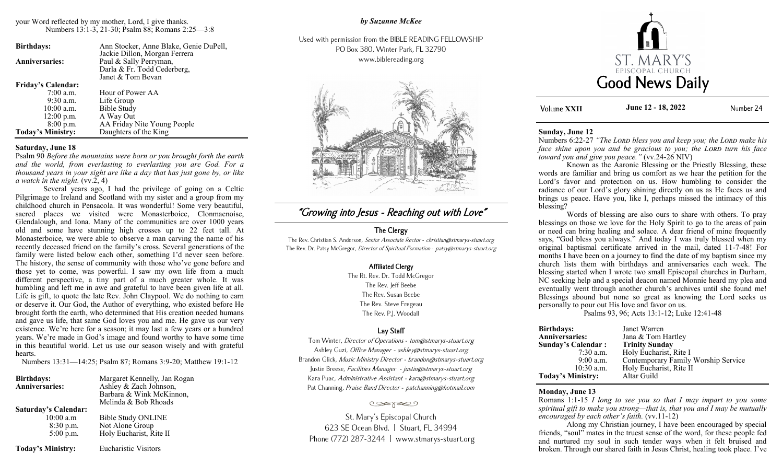## your Word reflected by my mother, Lord, I give thanks. Numbers 13:1-3, 21-30; Psalm 88; Romans 2:25—3:8

| <b>Birthdays:</b>         | Ann Stocker, Anne Blake, Genie DuPell, |
|---------------------------|----------------------------------------|
|                           | Jackie Dillon, Morgan Ferrera          |
| <b>Anniversaries:</b>     | Paul & Sally Perryman,                 |
|                           | Darla & Fr. Todd Cederberg,            |
|                           | Janet & Tom Bevan                      |
| <b>Friday's Calendar:</b> |                                        |
| $7:00$ a.m.               | Hour of Power AA                       |
| $9:30$ a.m.               | Life Group                             |
| $10:00$ a.m.              | <b>Bible Study</b>                     |
| $12:00$ p.m.              | A Way Out                              |
| $8:00$ p.m.               | AA Friday Nite Young People            |
| <b>Today's Ministry:</b>  | Daughters of the King                  |

# **Saturday, June 18**

Psalm 90 *Before the mountains were born or you brought forth the earth and the world, from everlasting to everlasting you are God. For a thousand years in your sight are like a day that has just gone by, or like*   $a$  watch in the night.  $(vv.\overline{2}, 4)$ 

Several years ago, I had the privilege of going on a Celtic Pilgrimage to Ireland and Scotland with my sister and a group from my childhood church in Pensacola. It was wonderful! Some very beautiful, sacred places we visited were Monasterboice, Clonmacnoise, Glendalough, and Iona. Many of the communities are over 1000 years old and some have stunning high crosses up to 22 feet tall. At Monasterboice, we were able to observe a man carving the name of his recently deceased friend on the family's cross. Several generations of the family were listed below each other, something I'd never seen before. The history, the sense of community with those who've gone before and those yet to come, was powerful. I saw my own life from a much different perspective, a tiny part of a much greater whole. It was humbling and left me in awe and grateful to have been given life at all. Life is gift, to quote the late Rev. John Claypool. We do nothing to earn or deserve it. Our God, the Author of everything, who existed before He brought forth the earth, who determined that His creation needed humans and gave us life, that same God loves you and me. He gave us our very existence. We're here for a season; it may last a few years or a hundred years. We're made in God's image and found worthy to have some time in this beautiful world. Let us use our season wisely and with grateful hearts.

Numbers 13:31—14:25; Psalm 87; Romans 3:9-20; Matthew 19:1-12

| <b>Birthdays:</b>           | Margaret Kennelly, Jan Rogan |
|-----------------------------|------------------------------|
| <b>Anniversaries:</b>       | Ashley & Zach Johnson,       |
|                             | Barbara & Wink McKinnon,     |
|                             | Melinda & Bob Rhoads         |
| <b>Saturday's Calendar:</b> |                              |
| $10:00$ a.m                 | <b>Bible Study ONLINE</b>    |
| 8:30 p.m.                   | Not Alone Group              |
| $5:00$ p.m.                 | Holy Eucharist, Rite II      |
| <b>Today's Ministry:</b>    | <b>Eucharistic Visitors</b>  |

*by Suzanne McKee*

Used with permission from the BIBLE READING FELLOWSHIP PO Box 380, Winter Park, FL 32790 www.biblereading.org



# "Growing into Jesus - Reaching out with Love"

# The Clergy

The Rev. Christian S. Anderson, Senior Associate Rector - christian@stmarys-stuart.org The Rev. Dr. Patsy McGregor, Director of Spiritual Formation - patsy@stmarys-stuart.org

# Affiliated Clergy

The Rt. Rev. Dr. Todd McGregor The Rev. Jeff Beebe The Rev. Susan Beebe The Rev. Steve Fregeau The Rev. P.J. Woodall

# Lay Staff

Tom Winter, Director of Operations - tom@stmarys-stuart.org Ashley Guzi, Office Manager - ashley@stmarys-stuart.org Brandon Glick, Music Ministry Director - brandon@stmarys-stuart.org Justin Breese, Facilities Manager - justin@stmarys-stuart.org Kara Puac, Administrative Assistant - kara@stmarys-stuart.org Pat Channing, Praise Band Director - patchanning@hotmail.com

#### تعجون

St. Mary's Episcopal Church 623 SE Ocean Blvd. | Stuart, FL 34994 Phone (772) 287-3244 | www.stmarys-stuart.org



**Volume XXII June 12 - 18, 2022** Number 24

#### **Sunday, June 12**

Numbers 6:22-27 *"The Lord bless you and keep you; the Lord make his face shine upon you and be gracious to you; the LORD turn his face toward you and give you peace."* (vv.24-26 NIV)

Known as the Aaronic Blessing or the Priestly Blessing, these words are familiar and bring us comfort as we hear the petition for the Lord's favor and protection on us. How humbling to consider the radiance of our Lord's glory shining directly on us as He faces us and brings us peace. Have you, like I, perhaps missed the intimacy of this blessing?

Words of blessing are also ours to share with others. To pray blessings on those we love for the Holy Spirit to go to the areas of pain or need can bring healing and solace. A dear friend of mine frequently says, "God bless you always." And today I was truly blessed when my original baptismal certificate arrived in the mail, dated 11-7-48! For months I have been on a journey to find the date of my baptism since my church lists them with birthdays and anniversaries each week. The blessing started when I wrote two small Episcopal churches in Durham, NC seeking help and a special deacon named Monnie heard my plea and eventually went through another church's archives until she found me! Blessings abound but none so great as knowing the Lord seeks us personally to pour out His love and favor on us.

Psalms 93, 96; Acts 13:1-12; Luke 12:41-48

| <b>Birthdays:</b>         | Janet Warren                        |
|---------------------------|-------------------------------------|
| Anniversaries:            | Jana & Tom Hartley                  |
| <b>Sunday's Calendar:</b> | <b>Trinity Sunday</b>               |
| $7:30$ a.m.               | Holy Eucharist, Rite I              |
| $9:00$ a.m.               | Contemporary Family Worship Service |
| $10:30$ a.m.              | Holy Eucharist, Rite II             |
| <b>Today's Ministry:</b>  | Altar Guild                         |

#### **Monday, June 13**

Romans 1:1-15 *I long to see you so that I may impart to you some spiritual gift to make you strong—that is, that you and I may be mutually encouraged by each other's faith.* (vv.11-12)

Along my Christian journey, I have been encouraged by special friends, "soul" mates in the truest sense of the word, for these people fed and nurtured my soul in such tender ways when it felt bruised and broken. Through our shared faith in Jesus Christ, healing took place. I've